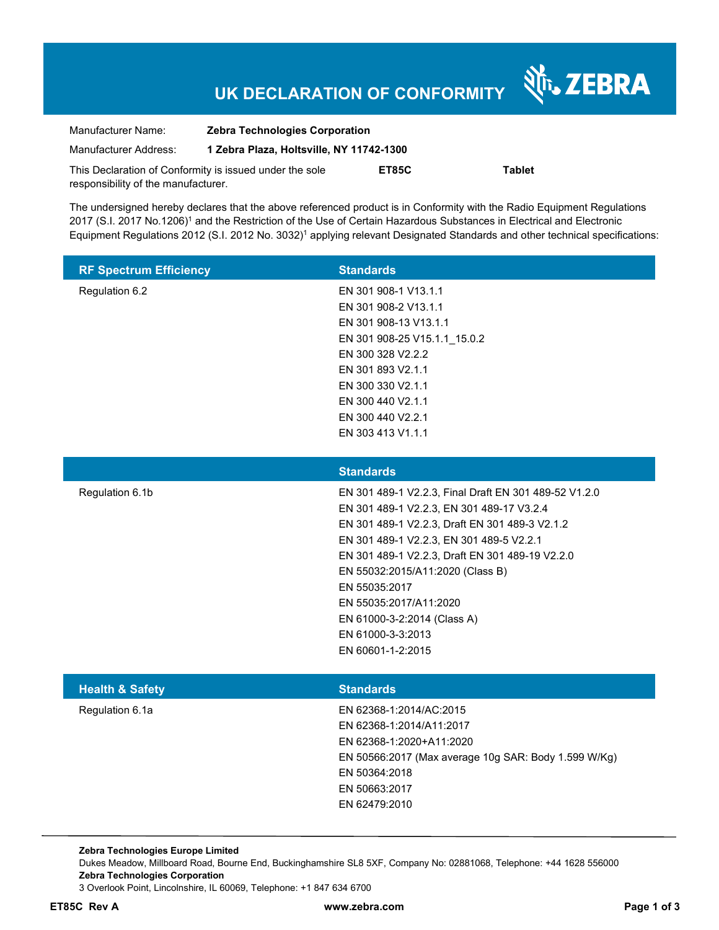# **UK DECLARATION OF CONFORMITY**

Nr. ZEBRA

| Manufacturer Name:                                      | <b>Zebra Technologies Corporation</b>    |       |               |
|---------------------------------------------------------|------------------------------------------|-------|---------------|
| Manufacturer Address:                                   | 1 Zebra Plaza, Holtsville, NY 11742-1300 |       |               |
| This Declaration of Conformity is issued under the sole |                                          | ET85C | <b>Tablet</b> |
| responsibility of the manufacturer.                     |                                          |       |               |

The undersigned hereby declares that the above referenced product is in Conformity with the Radio Equipment Regulations 2017 (S.I. 2017 No.1206)<sup>1</sup> and the Restriction of the Use of Certain Hazardous Substances in Electrical and Electronic Equipment Regulations 2012 (S.I. 2012 No. 3032)<sup>1</sup> applying relevant Designated Standards and other technical specifications:

| <b>RF Spectrum Efficiency</b> | <b>Standards</b>             |
|-------------------------------|------------------------------|
| Regulation 6.2                | EN 301 908-1 V13.1.1         |
|                               | EN 301 908-2 V13.1.1         |
|                               | EN 301 908-13 V13.1.1        |
|                               | EN 301 908-25 V15.1.1 15.0.2 |
|                               | EN 300 328 V2.2.2            |
|                               | EN 301 893 V2.1.1            |
|                               | EN 300 330 V2.1.1            |
|                               | EN 300 440 V2.1.1            |
|                               | EN 300 440 V2.2.1            |
|                               | EN 303 413 V1.1.1            |
|                               |                              |

|                            | <b>Standards</b>                                      |
|----------------------------|-------------------------------------------------------|
| Regulation 6.1b            | EN 301 489-1 V2.2.3, Final Draft EN 301 489-52 V1.2.0 |
|                            | EN 301 489-1 V2.2.3, EN 301 489-17 V3.2.4             |
|                            | EN 301 489-1 V2.2.3, Draft EN 301 489-3 V2.1.2        |
|                            | EN 301 489-1 V2.2.3, EN 301 489-5 V2.2.1              |
|                            | EN 301 489-1 V2.2.3, Draft EN 301 489-19 V2.2.0       |
|                            | EN 55032:2015/A11:2020 (Class B)                      |
|                            | EN 55035:2017                                         |
|                            | EN 55035:2017/A11:2020                                |
|                            | EN 61000-3-2:2014 (Class A)                           |
|                            | EN 61000-3-3:2013                                     |
|                            | EN 60601-1-2:2015                                     |
|                            |                                                       |
| <b>Health &amp; Safety</b> | <b>Standards</b>                                      |

| Regulation 6.1a | EN 62368-1:2014/AC:2015                              |
|-----------------|------------------------------------------------------|
|                 | EN 62368-1:2014/A11:2017                             |
|                 | EN 62368-1:2020+A11:2020                             |
|                 | EN 50566:2017 (Max average 10g SAR: Body 1.599 W/Kg) |
|                 | EN 50364:2018                                        |
|                 | EN 50663:2017                                        |
|                 | EN 62479:2010                                        |

**Zebra Technologies Europe Limited**  Dukes Meadow, Millboard Road, Bourne End, Buckinghamshire SL8 5XF, Company No: 02881068, Telephone: +44 1628 556000 **Zebra Technologies Corporation**  3 Overlook Point, Lincolnshire, IL 60069, Telephone: +1 847 634 6700

**ET85C Rev A www.zebra.com Page 1 of 3**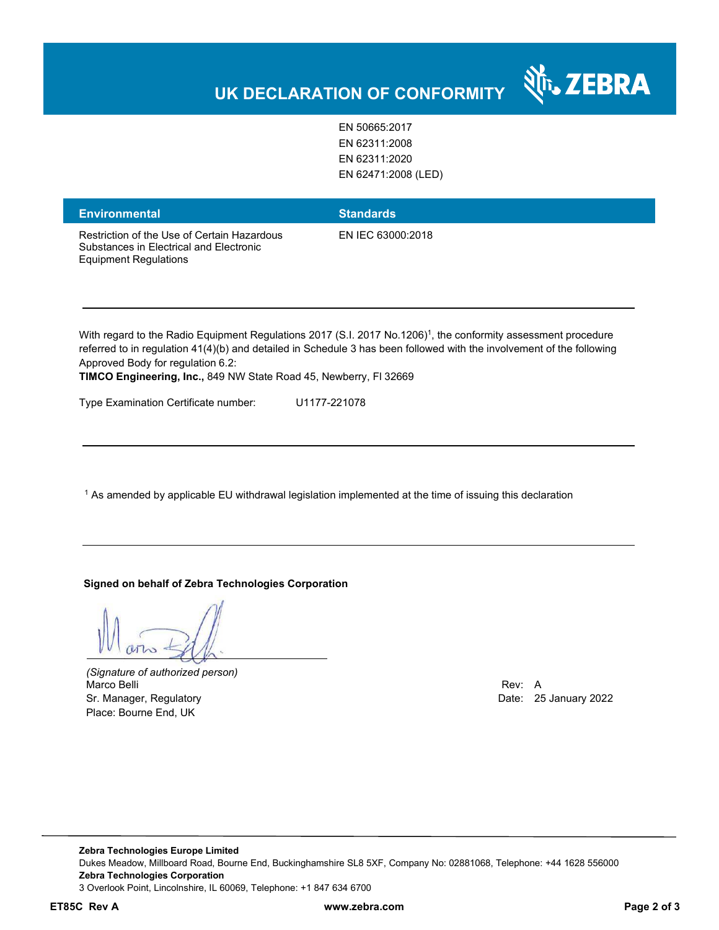### र्शे<sub>ं</sub> ZEBRA **UK DECLARATION OF CONFORMITY**

EN 50665:2017 EN 62311:2008 EN 62311:2020

EN 62471:2008 (LED)

| <b>Environmental</b>                                                                                                   | <b>Standards</b>  |
|------------------------------------------------------------------------------------------------------------------------|-------------------|
| Restriction of the Use of Certain Hazardous<br>Substances in Electrical and Electronic<br><b>Equipment Regulations</b> | EN IEC 63000:2018 |

With regard to the Radio Equipment Regulations 2017 (S.I. 2017 No.1206)<sup>1</sup>, the conformity assessment procedure referred to in regulation 41(4)(b) and detailed in Schedule 3 has been followed with the involvement of the following Approved Body for regulation 6.2:

**TIMCO Engineering, Inc.,** 849 NW State Road 45, Newberry, Fl 32669

Type Examination Certificate number: U1177-221078

 $^{\rm 1}$  As amended by applicable EU withdrawal legislation implemented at the time of issuing this declaration

#### **Signed on behalf of Zebra Technologies Corporation**

*(Signature of authorized person)* Marco Belli Rev: A Sr. Manager, Regulatory **Date: 25 January 2022** Place: Bourne End, UK